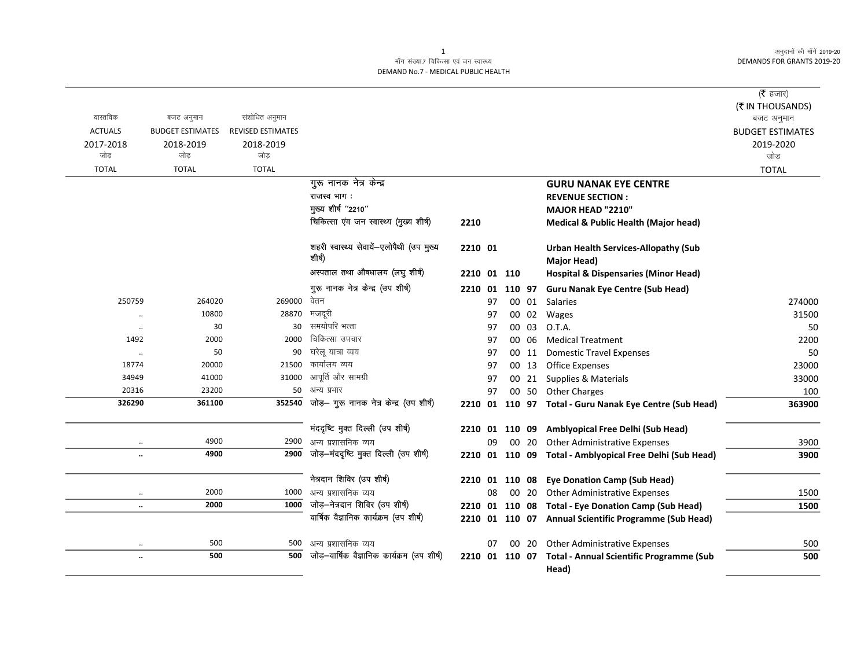अनुदानों की माँगें 2019-20 **DEMANDS FOR GRANTS 2019-20** 

## माँग संख्या.7 चिकित्सा एवं जन स्वास्थ्य DEMAND No.7 - MEDICAL PUBLIC HEALTH

|                      |                         |                          |                                                    |                |    |    |       |                                                            | ( $\bar{\tau}$ हजार)    |
|----------------------|-------------------------|--------------------------|----------------------------------------------------|----------------|----|----|-------|------------------------------------------------------------|-------------------------|
|                      |                         |                          |                                                    |                |    |    |       |                                                            | (₹ IN THOUSANDS)        |
| वास्तविक             | बजट अनुमान              | संशोधित अनुमान           |                                                    |                |    |    |       |                                                            | बजट अनुमान              |
| <b>ACTUALS</b>       | <b>BUDGET ESTIMATES</b> | <b>REVISED ESTIMATES</b> |                                                    |                |    |    |       |                                                            | <b>BUDGET ESTIMATES</b> |
| 2017-2018            | 2018-2019               | 2018-2019                |                                                    |                |    |    |       |                                                            | 2019-2020               |
| जोड                  | जोड                     | जोड                      |                                                    |                |    |    |       |                                                            | जोड                     |
| <b>TOTAL</b>         | <b>TOTAL</b>            | <b>TOTAL</b>             |                                                    |                |    |    |       |                                                            | <b>TOTAL</b>            |
|                      |                         |                          | गुरू नानक नेत्र केन्द्र                            |                |    |    |       | <b>GURU NANAK EYE CENTRE</b>                               |                         |
|                      |                         |                          | राजस्व भाग:                                        |                |    |    |       | <b>REVENUE SECTION:</b>                                    |                         |
|                      |                         |                          | मुख्य शीर्ष "2210"                                 |                |    |    |       | MAJOR HEAD "2210"                                          |                         |
|                      |                         |                          | चिकित्सा एंव जन स्वास्थ्य (मुख्य शीर्ष)            | 2210           |    |    |       | <b>Medical &amp; Public Health (Major head)</b>            |                         |
|                      |                         |                          | शहरी स्वास्थ्य सेवायें-एलोपैथी (उप मुख्य<br>शीर्ष) | 2210 01        |    |    |       | <b>Urban Health Services-Allopathy (Sub</b><br>Major Head) |                         |
|                      |                         |                          | अस्पताल तथा औषधालय (लघु शीर्ष)                     | 2210 01 110    |    |    |       | <b>Hospital &amp; Dispensaries (Minor Head)</b>            |                         |
|                      |                         |                          | गुरू नानक नेत्र केन्द्र (उप शीर्ष)                 | 2210 01 110 97 |    |    |       | <b>Guru Nanak Eye Centre (Sub Head)</b>                    |                         |
| 250759               | 264020                  | 269000 वेतन              |                                                    |                | 97 |    |       | 00 01 Salaries                                             | 274000                  |
| $\ddotsc$            | 10800                   | 28870                    | मजदूरी                                             |                | 97 |    |       | 00 02 Wages                                                | 31500                   |
|                      | 30                      | 30                       | समयोपरि भत्ता                                      |                | 97 | 00 | 03    | O.T.A.                                                     | 50                      |
| 1492                 | 2000                    | 2000                     | चिकित्सा उपचार                                     |                | 97 |    | 00 06 | <b>Medical Treatment</b>                                   | 2200                    |
| $\ldots$             | 50                      | 90                       | घरेलू यात्रा व्यय                                  |                | 97 |    | 00 11 | <b>Domestic Travel Expenses</b>                            | 50                      |
| 18774                | 20000                   | 21500                    | कार्यालय व्यय                                      |                | 97 |    | 00 13 | <b>Office Expenses</b>                                     | 23000                   |
| 34949                | 41000                   | 31000                    | आपूर्ति और सामग्री                                 |                | 97 |    | 00 21 | Supplies & Materials                                       | 33000                   |
| 20316                | 23200                   |                          | 50 अन्य प्रभार                                     |                | 97 |    |       | 00 50 Other Charges                                        | 100                     |
| 326290               | 361100                  | 352540                   | जोड़- गुरू नानक नेत्र केन्द्र (उप शीर्ष)           |                |    |    |       | 2210 01 110 97 Total - Guru Nanak Eye Centre (Sub Head)    | 363900                  |
|                      |                         |                          | मंददृष्टि मुक्त दिल्ली (उप शीर्ष)                  |                |    |    |       | 2210 01 110 09 Amblyopical Free Delhi (Sub Head)           |                         |
| $\ldots$             | 4900                    | 2900                     | अन्य प्रशासनिक व्यय                                |                | 09 |    | 00 20 | <b>Other Administrative Expenses</b>                       | 3900                    |
| $\ddotsc$            | 4900                    | 2900                     | जोड़-मंददृष्टि मुक्त दिल्ली (उप शीर्ष)             |                |    |    |       | 2210 01 110 09 Total - Amblyopical Free Delhi (Sub Head)   | 3900                    |
|                      |                         |                          | नेत्रदान शिविर (उप शीर्ष)                          |                |    |    |       | 2210 01 110 08 Eye Donation Camp (Sub Head)                |                         |
| $\ldots$             | 2000                    | 1000                     | अन्य प्रशासनिक व्यय                                |                | 08 |    | 00 20 | <b>Other Administrative Expenses</b>                       | 1500                    |
| $\ldots$             | 2000                    |                          | 1000 जोड़-नेत्रदान शिविर (उप शीर्ष)                |                |    |    |       | 2210 01 110 08 Total - Eye Donation Camp (Sub Head)        | 1500                    |
|                      |                         |                          | वार्षिक वैज्ञानिक कार्यक्रम (उप शीर्ष)             |                |    |    |       | 2210 01 110 07 Annual Scientific Programme (Sub Head)      |                         |
|                      | 500                     | 500                      | अन्य प्रशासनिक व्यय                                |                | 07 |    | 00 20 | <b>Other Administrative Expenses</b>                       | 500                     |
| $\ddot{\phantom{0}}$ | 500                     | 500                      | जोड़-वार्षिक वैज्ञानिक कार्यक्रम (उप शीर्ष)        |                |    |    |       | 2210 01 110 07 Total - Annual Scientific Programme (Sub    | 500                     |
|                      |                         |                          |                                                    |                |    |    |       | Head)                                                      |                         |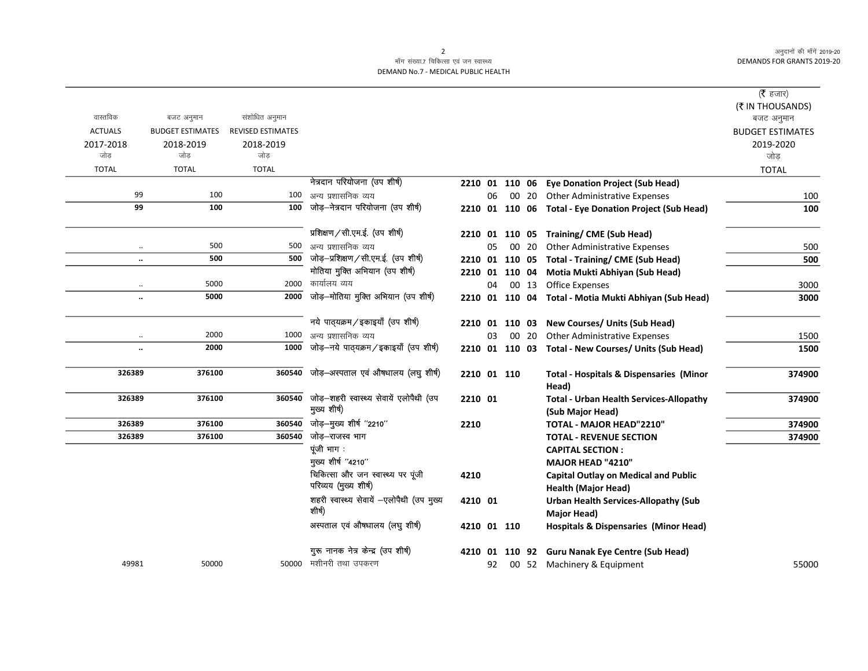अनुदानों की माँगें 2019-20 DEMANDS FOR GRANTS 2019-20

 $\overline{\phantom{0}}$ 

## माँग संख्या.7 चिकित्सा एवं जन स्वास्थ्य DEMAND No.7 - MEDICAL PUBLIC HEALTH

|                  |                              |                          |                                                                |                |    |                |       |                                                                                       | ( $\bar{\tau}$ हजार)<br>(₹ IN THOUSANDS) |
|------------------|------------------------------|--------------------------|----------------------------------------------------------------|----------------|----|----------------|-------|---------------------------------------------------------------------------------------|------------------------------------------|
| वास्तविक         | बजट अनुमान                   | संशोधित अनुमान           |                                                                |                |    |                |       |                                                                                       | बजट अनुमान                               |
| <b>ACTUALS</b>   | <b>BUDGET ESTIMATES</b>      | <b>REVISED ESTIMATES</b> |                                                                |                |    |                |       |                                                                                       | <b>BUDGET ESTIMATES</b>                  |
| 2017-2018<br>जोड | 2018-2019<br>जोड             | 2018-2019<br>जोड         |                                                                |                |    |                |       |                                                                                       | 2019-2020<br>जोड़                        |
| <b>TOTAL</b>     | <b>TOTAL</b>                 | <b>TOTAL</b>             |                                                                |                |    |                |       |                                                                                       |                                          |
|                  |                              |                          | नेत्रदान परियोजना (उप शीर्ष)                                   |                |    |                |       |                                                                                       | <b>TOTAL</b>                             |
|                  | 99<br>100                    |                          | 100 अन्य प्रशासनिक व्यय                                        |                | 06 |                |       | 2210 01 110 06 Eye Donation Project (Sub Head)<br>00 20 Other Administrative Expenses | 100                                      |
|                  | 99<br>100                    | 100                      | जोड़-नेत्रदान परियोजना (उप शीर्ष)                              |                |    |                |       |                                                                                       | 100                                      |
|                  |                              |                          |                                                                |                |    |                |       | 2210 01 110 06 Total - Eye Donation Project (Sub Head)                                |                                          |
|                  |                              |                          | प्रशिक्षण / सी.एम.ई. (उप शीर्ष)                                |                |    |                |       | 2210 01 110 05 Training/CME (Sub Head)                                                |                                          |
|                  | 500<br>$\ddotsc$             | 500                      | अन्य प्रशासनिक व्यय                                            |                | 05 |                | 00 20 | <b>Other Administrative Expenses</b>                                                  | 500                                      |
|                  | 500<br>$\ddotsc$             | 500                      | जोड़-प्रशिक्षण/सी.एम.ई. (उप शीर्ष)                             |                |    |                |       | 2210 01 110 05 Total - Training/ CME (Sub Head)                                       | 500                                      |
|                  |                              |                          | मोतिया मुक्ति अभियान (उप शीर्ष)                                | 2210 01 110 04 |    |                |       | Motia Mukti Abhiyan (Sub Head)                                                        |                                          |
|                  | 5000                         | 2000                     | कार्यालय व्यय                                                  |                | 04 |                | 00 13 | <b>Office Expenses</b>                                                                | 3000                                     |
|                  | 5000<br>$\ddot{\phantom{0}}$ | 2000                     | जोड़-मोतिया मुक्ति अभियान (उप शीर्ष)                           | 2210 01 110 04 |    |                |       | Total - Motia Mukti Abhiyan (Sub Head)                                                | 3000                                     |
|                  |                              |                          |                                                                |                |    |                |       |                                                                                       |                                          |
|                  |                              |                          | नये पाठ्यक्रम/इकाइयाँ (उप शीर्ष)                               |                |    |                |       | 2210 01 110 03 New Courses/ Units (Sub Head)                                          |                                          |
|                  | 2000<br>$\ldots$             |                          | 1000 अन्य प्रशासनिक व्यय                                       |                | 03 |                | 00 20 | <b>Other Administrative Expenses</b>                                                  | 1500                                     |
|                  | 2000<br>$\ddotsc$            | 1000                     | जोड़-नये पाठ्यक्रम/इकाइयाँ (उप शीर्ष)                          |                |    |                |       | 2210 01 110 03 Total - New Courses/ Units (Sub Head)                                  | 1500                                     |
|                  |                              |                          |                                                                |                |    |                |       |                                                                                       |                                          |
| 326389           | 376100                       |                          | 360540 जोड़-अस्पताल एवं औषधालय (लघु शीर्ष)                     | 2210 01 110    |    |                |       | <b>Total - Hospitals &amp; Dispensaries (Minor</b>                                    | 374900                                   |
|                  |                              |                          |                                                                |                |    |                |       | Head)                                                                                 |                                          |
| 326389           | 376100                       |                          | 360540 जोड़-शहरी स्वास्थ्य सेवायें एलोपैथी (उप<br>मुख्य शीर्ष) | 2210 01        |    |                |       | <b>Total - Urban Health Services-Allopathy</b>                                        | 374900                                   |
| 326389           | 376100                       |                          | 360540 जोड़-मुख्य शीर्ष "2210"                                 |                |    |                |       | (Sub Major Head)                                                                      |                                          |
| 326389           | 376100                       | 360540                   | जोड़–राजस्व भाग                                                | 2210           |    |                |       | TOTAL - MAJOR HEAD"2210"                                                              | 374900<br>374900                         |
|                  |                              |                          | पूंजी भाग:                                                     |                |    |                |       | <b>TOTAL - REVENUE SECTION</b><br><b>CAPITAL SECTION:</b>                             |                                          |
|                  |                              |                          | मुख्य शीर्ष "4210"                                             |                |    |                |       | MAJOR HEAD "4210"                                                                     |                                          |
|                  |                              |                          | चिकित्सा और जन स्वास्थ्य पर पूंजी                              | 4210           |    |                |       | <b>Capital Outlay on Medical and Public</b>                                           |                                          |
|                  |                              |                          | परिव्यय (मुख्य शीर्ष)                                          |                |    |                |       | <b>Health (Major Head)</b>                                                            |                                          |
|                  |                              |                          | शहरी स्वास्थ्य सेवायें -एलोपैथी (उप मुख्य                      | 4210 01        |    |                |       | <b>Urban Health Services-Allopathy (Sub</b>                                           |                                          |
|                  |                              |                          | शीर्ष)                                                         |                |    |                |       | Major Head)                                                                           |                                          |
|                  |                              |                          | अस्पताल एवं औषधालय (लघु शीर्ष)                                 | 4210 01 110    |    |                |       | <b>Hospitals &amp; Dispensaries (Minor Head)</b>                                      |                                          |
|                  |                              |                          | गुरू नानक नेत्र केन्द्र (उप शीर्ष)                             |                |    | 4210 01 110 92 |       | <b>Guru Nanak Eye Centre (Sub Head)</b>                                               |                                          |
| 49981            | 50000                        |                          | 50000 मशीनरी तथा उपकरण                                         |                | 92 |                |       | 00 52 Machinery & Equipment                                                           | 55000                                    |
|                  |                              |                          |                                                                |                |    |                |       |                                                                                       |                                          |

2